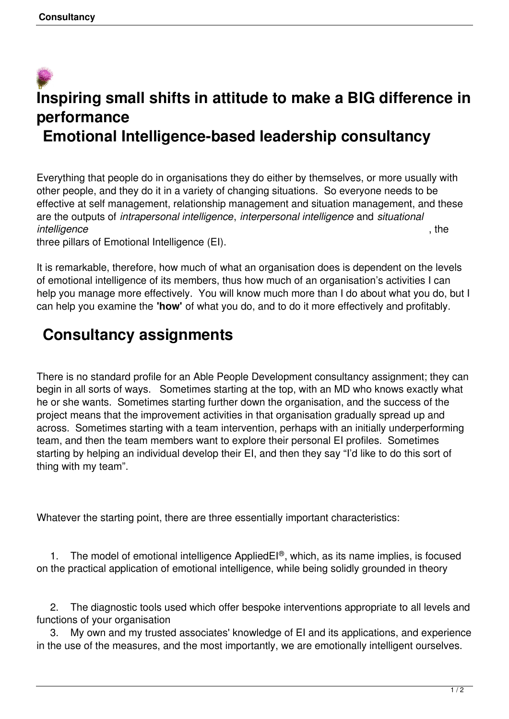## **Inspiring small shifts in attitude to make a BIG difference in performance Emotional Intelligence-based leadership consultancy**

Everything that people do in organisations they do either by themselves, or more usually with other people, and they do it in a variety of changing situations. So everyone needs to be effective at self management, relationship management and situation management, and these are the outputs of *intrapersonal intelligence*, *interpersonal intelligence* and *situational* **intelligence** , the

three pillars of Emotional Intelligence (EI).

It is remarkable, therefore, how much of what an organisation does is dependent on the levels of emotional intelligence of its members, thus how much of an organisation's activities I can help you manage more effectively. You will know much more than I do about what you do, but I can help you examine the **'how'** of what you do, and to do it more effectively and profitably.

## **Consultancy assignments**

There is no standard profile for an Able People Development consultancy assignment; they can begin in all sorts of ways. Sometimes starting at the top, with an MD who knows exactly what he or she wants. Sometimes starting further down the organisation, and the success of the project means that the improvement activities in that organisation gradually spread up and across. Sometimes starting with a team intervention, perhaps with an initially underperforming team, and then the team members want to explore their personal EI profiles. Sometimes starting by helping an individual develop their EI, and then they say "I'd like to do this sort of thing with my team".

Whatever the starting point, there are three essentially important characteristics:

1. The model of emotional intelligence AppliedEI<sup>®</sup>, which, as its name implies, is focused on the practical application of emotional intelligence, while being solidly grounded in theory

 2. The diagnostic tools used which offer bespoke interventions appropriate to all levels and functions of your organisation

 3. My own and my trusted associates' knowledge of EI and its applications, and experience in the use of the measures, and the most importantly, we are emotionally intelligent ourselves.